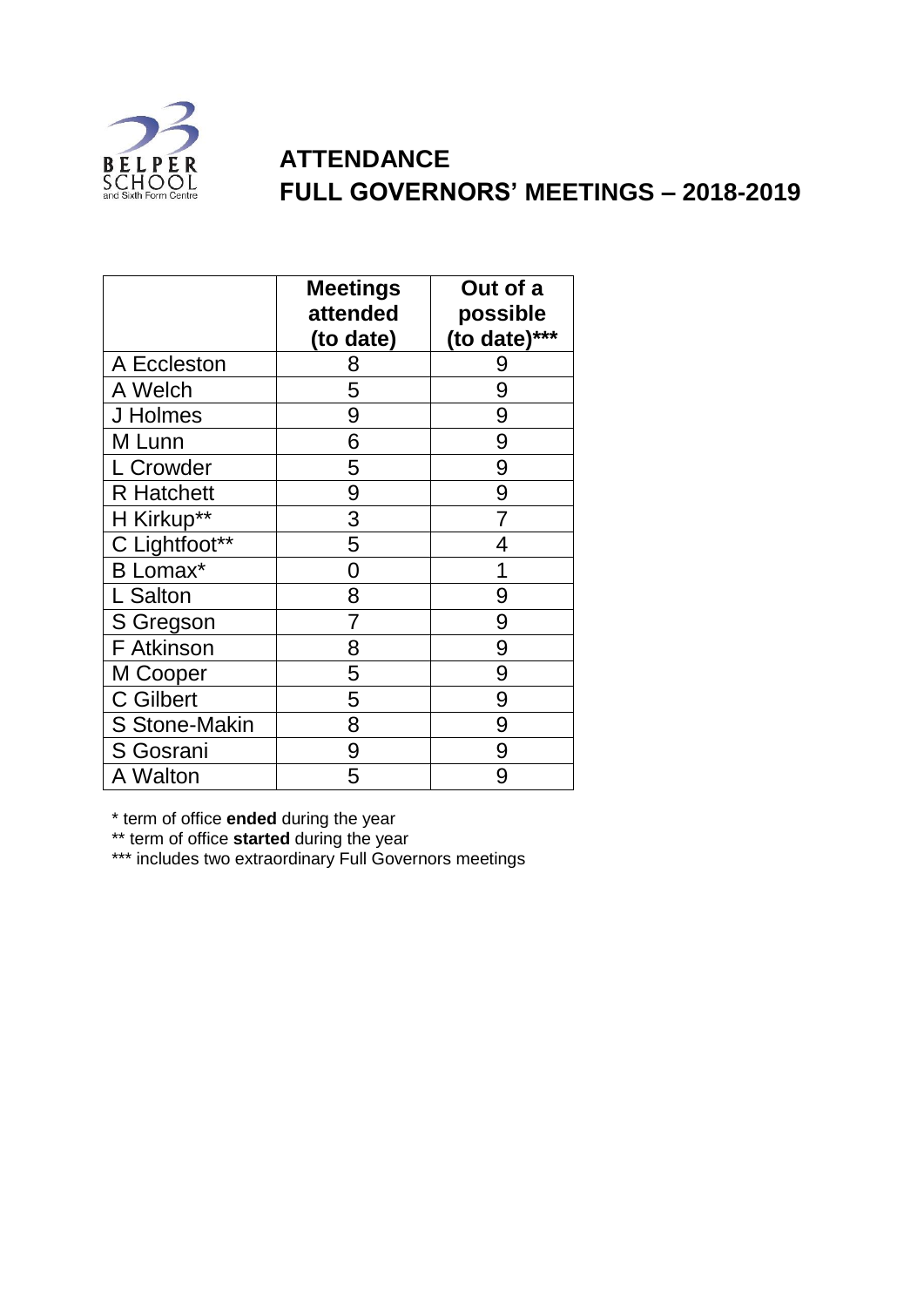

## **ATTENDANCE FULL GOVERNORS' MEETINGS – 2018-2019**

|                      | <b>Meetings</b><br>attended<br>(to date) | Out of a<br>possible<br>(to date)*** |
|----------------------|------------------------------------------|--------------------------------------|
| A Eccleston          | 8                                        | 9                                    |
| A Welch              | 5                                        | 9                                    |
| J Holmes             | 9                                        | 9                                    |
| M Lunn               | 6                                        | 9                                    |
| L Crowder            | 5                                        | 9                                    |
| <b>R</b> Hatchett    | 9                                        | 9                                    |
| H Kirkup**           | 3                                        |                                      |
| C Lightfoot**        | 5                                        | 4                                    |
| <b>B</b> Lomax*      | 0                                        |                                      |
| L Salton             | 8                                        | 9                                    |
| S Gregson            | 7                                        | 9                                    |
| F Atkinson           | 8                                        | 9                                    |
| M Cooper             | 5                                        | 9                                    |
| <b>C</b> Gilbert     | 5                                        | 9                                    |
| <b>S Stone-Makin</b> | 8                                        | 9                                    |
| S Gosrani            | 9                                        | 9                                    |
| A Walton             | 5                                        | 9                                    |

\* term of office **ended** during the year

\*\* term of office **started** during the year

\*\*\* includes two extraordinary Full Governors meetings